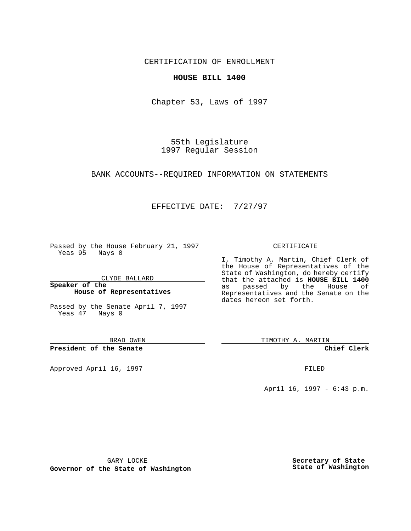CERTIFICATION OF ENROLLMENT

## **HOUSE BILL 1400**

Chapter 53, Laws of 1997

55th Legislature 1997 Regular Session

BANK ACCOUNTS--REQUIRED INFORMATION ON STATEMENTS

## EFFECTIVE DATE: 7/27/97

Passed by the House February 21, 1997 Yeas 95 Nays 0

CLYDE BALLARD

**Speaker of the House of Representatives**

Passed by the Senate April 7, 1997 Yeas 47 Nays 0

BRAD OWEN

**President of the Senate**

Approved April 16, 1997 **FILED** 

## CERTIFICATE

I, Timothy A. Martin, Chief Clerk of the House of Representatives of the State of Washington, do hereby certify that the attached is **HOUSE BILL 1400** as passed by the House of Representatives and the Senate on the dates hereon set forth.

TIMOTHY A. MARTIN

**Chief Clerk**

April 16, 1997 - 6:43 p.m.

GARY LOCKE

**Governor of the State of Washington**

**Secretary of State State of Washington**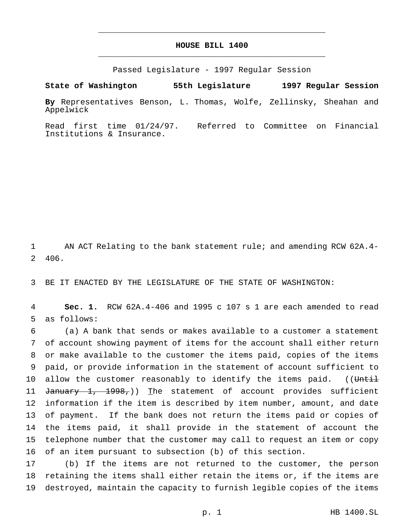## **HOUSE BILL 1400** \_\_\_\_\_\_\_\_\_\_\_\_\_\_\_\_\_\_\_\_\_\_\_\_\_\_\_\_\_\_\_\_\_\_\_\_\_\_\_\_\_\_\_\_\_\_\_

\_\_\_\_\_\_\_\_\_\_\_\_\_\_\_\_\_\_\_\_\_\_\_\_\_\_\_\_\_\_\_\_\_\_\_\_\_\_\_\_\_\_\_\_\_\_\_

Passed Legislature - 1997 Regular Session

**State of Washington 55th Legislature 1997 Regular Session**

**By** Representatives Benson, L. Thomas, Wolfe, Zellinsky, Sheahan and Appelwick

Read first time 01/24/97. Referred to Committee on Financial Institutions & Insurance.

1 AN ACT Relating to the bank statement rule; and amending RCW 62A.4- 2 406.

3 BE IT ENACTED BY THE LEGISLATURE OF THE STATE OF WASHINGTON:

4 **Sec. 1.** RCW 62A.4-406 and 1995 c 107 s 1 are each amended to read 5 as follows:

 (a) A bank that sends or makes available to a customer a statement of account showing payment of items for the account shall either return or make available to the customer the items paid, copies of the items paid, or provide information in the statement of account sufficient to 10 allow the customer reasonably to identify the items paid. ((Until 11 January 1, 1998,)) The statement of account provides sufficient information if the item is described by item number, amount, and date of payment. If the bank does not return the items paid or copies of the items paid, it shall provide in the statement of account the telephone number that the customer may call to request an item or copy of an item pursuant to subsection (b) of this section.

17 (b) If the items are not returned to the customer, the person 18 retaining the items shall either retain the items or, if the items are 19 destroyed, maintain the capacity to furnish legible copies of the items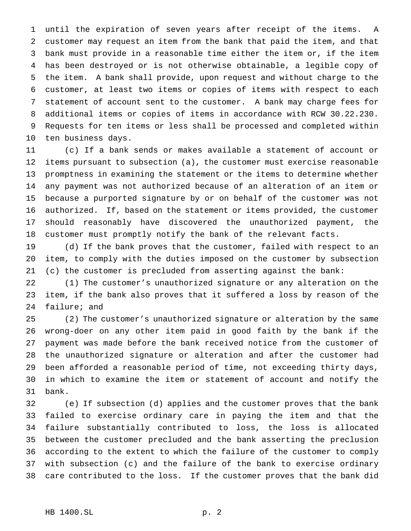until the expiration of seven years after receipt of the items. A customer may request an item from the bank that paid the item, and that bank must provide in a reasonable time either the item or, if the item has been destroyed or is not otherwise obtainable, a legible copy of the item. A bank shall provide, upon request and without charge to the customer, at least two items or copies of items with respect to each statement of account sent to the customer. A bank may charge fees for additional items or copies of items in accordance with RCW 30.22.230. Requests for ten items or less shall be processed and completed within ten business days.

 (c) If a bank sends or makes available a statement of account or items pursuant to subsection (a), the customer must exercise reasonable promptness in examining the statement or the items to determine whether any payment was not authorized because of an alteration of an item or because a purported signature by or on behalf of the customer was not authorized. If, based on the statement or items provided, the customer should reasonably have discovered the unauthorized payment, the customer must promptly notify the bank of the relevant facts.

 (d) If the bank proves that the customer, failed with respect to an item, to comply with the duties imposed on the customer by subsection (c) the customer is precluded from asserting against the bank:

 (1) The customer's unauthorized signature or any alteration on the item, if the bank also proves that it suffered a loss by reason of the failure; and

 (2) The customer's unauthorized signature or alteration by the same wrong-doer on any other item paid in good faith by the bank if the payment was made before the bank received notice from the customer of the unauthorized signature or alteration and after the customer had been afforded a reasonable period of time, not exceeding thirty days, in which to examine the item or statement of account and notify the bank.

 (e) If subsection (d) applies and the customer proves that the bank failed to exercise ordinary care in paying the item and that the failure substantially contributed to loss, the loss is allocated between the customer precluded and the bank asserting the preclusion according to the extent to which the failure of the customer to comply with subsection (c) and the failure of the bank to exercise ordinary care contributed to the loss. If the customer proves that the bank did